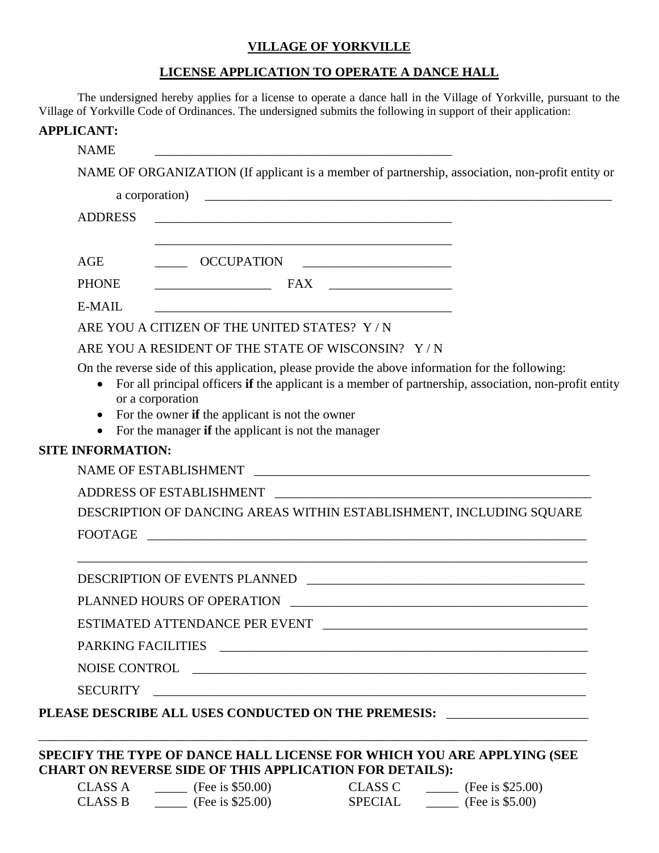## **VILLAGE OF YORKVILLE**

## **LICENSE APPLICATION TO OPERATE A DANCE HALL**

The undersigned hereby applies for a license to operate a dance hall in the Village of Yorkville, pursuant to the Village of Yorkville Code of Ordinances. The undersigned submits the following in support of their application:

| <b>APPLICANT:</b>        |                                                                                                                                                                                                                                |                                                                                                        |
|--------------------------|--------------------------------------------------------------------------------------------------------------------------------------------------------------------------------------------------------------------------------|--------------------------------------------------------------------------------------------------------|
| <b>NAME</b>              |                                                                                                                                                                                                                                |                                                                                                        |
|                          |                                                                                                                                                                                                                                | NAME OF ORGANIZATION (If applicant is a member of partnership, association, non-profit entity or       |
|                          |                                                                                                                                                                                                                                |                                                                                                        |
| <b>ADDRESS</b>           |                                                                                                                                                                                                                                |                                                                                                        |
|                          |                                                                                                                                                                                                                                |                                                                                                        |
| AGE                      | OCCUPATION                                                                                                                                                                                                                     |                                                                                                        |
| <b>PHONE</b>             |                                                                                                                                                                                                                                |                                                                                                        |
| E-MAIL                   |                                                                                                                                                                                                                                |                                                                                                        |
|                          | ARE YOU A CITIZEN OF THE UNITED STATES? Y/N                                                                                                                                                                                    |                                                                                                        |
|                          | ARE YOU A RESIDENT OF THE STATE OF WISCONSIN? Y/N                                                                                                                                                                              |                                                                                                        |
| $\bullet$<br>$\bullet$   | On the reverse side of this application, please provide the above information for the following:<br>or a corporation<br>For the owner if the applicant is not the owner<br>For the manager if the applicant is not the manager | For all principal officers if the applicant is a member of partnership, association, non-profit entity |
| <b>SITE INFORMATION:</b> |                                                                                                                                                                                                                                |                                                                                                        |
|                          | NAME OF ESTABLISHMENT                                                                                                                                                                                                          |                                                                                                        |
|                          |                                                                                                                                                                                                                                |                                                                                                        |
|                          | DESCRIPTION OF DANCING AREAS WITHIN ESTABLISHMENT, INCLUDING SQUARE                                                                                                                                                            |                                                                                                        |
| <b>FOOTAGE</b>           |                                                                                                                                                                                                                                |                                                                                                        |
|                          | <b>DESCRIPTION OF EVENTS PLANNED</b>                                                                                                                                                                                           |                                                                                                        |
|                          | PLANNED HOURS OF OPERATION                                                                                                                                                                                                     |                                                                                                        |
|                          |                                                                                                                                                                                                                                |                                                                                                        |
|                          |                                                                                                                                                                                                                                |                                                                                                        |
|                          |                                                                                                                                                                                                                                |                                                                                                        |
|                          |                                                                                                                                                                                                                                |                                                                                                        |
|                          |                                                                                                                                                                                                                                | PLEASE DESCRIBE ALL USES CONDUCTED ON THE PREMESIS: ______________________                             |
|                          |                                                                                                                                                                                                                                |                                                                                                        |
|                          | SPECIFY THE TYPE OF DANCE HALL LICENSE FOR WHICH YOU ARE APPLYING (SEE                                                                                                                                                         |                                                                                                        |
|                          | <b>CHART ON REVERSE SIDE OF THIS APPLICATION FOR DETAILS):</b>                                                                                                                                                                 |                                                                                                        |
|                          | CLASS A _______ (Fee is \$50.00) CLASS C ______ (Fee is \$25.00)                                                                                                                                                               |                                                                                                        |